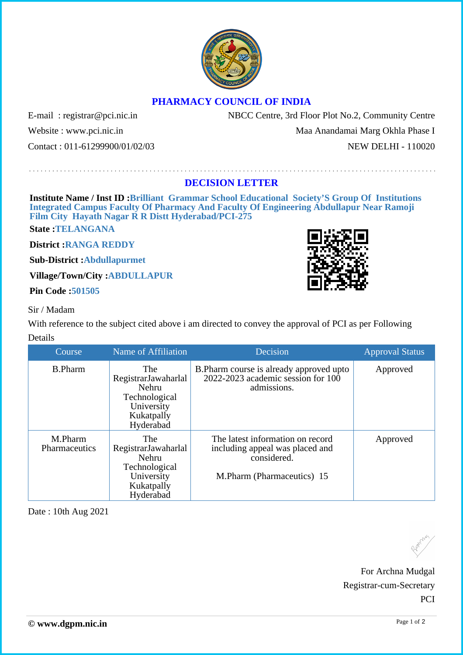## **PHARMACY COUNCIL OF INDIA**

E-mail: registrar@pci.nic.in NBCC Centre, 3rd Floor Plot No.2, Community Centre

Website : www.pci.nic.in Maa Anandamai Marg Okhla Phase I Contact : 011-61299900/01/02/03 NEW DELHI - 110020

## **DECISION LETTER**

**Institute Name / Inst ID :Brilliant Grammar School Educational Society'S Group Of Institutions Integrated Campus Faculty Of Pharmacy And Faculty Of Engineering Abdullapur Near Ramoji Film City Hayath Nagar R R Distt Hyderabad/PCI-275**

**State :TELANGANA**

**District :RANGA REDDY**

**Sub-District :Abdullapurmet**

**Village/Town/City :ABDULLAPUR**

**Pin Code :501505**

## Sir / Madam

With reference to the subject cited above i am directed to convey the approval of PCI as per Following Details

| Course                   | Name of Affiliation                                                                                  | Decision                                                                                                         | <b>Approval Status</b> |
|--------------------------|------------------------------------------------------------------------------------------------------|------------------------------------------------------------------------------------------------------------------|------------------------|
| <b>B.Pharm</b>           | <b>The</b><br>RegistrarJawaharlal<br>Nehru<br>Technological<br>University<br>Kukatpally<br>Hyderabad | B. Pharm course is already approved upto<br>$2022 - 2023$ academic session for $100$<br>admissions.              | Approved               |
| M.Pharm<br>Pharmaceutics | The<br>RegistrarJawaharlal<br>Nehru<br>Technological<br>University<br>Kukatpally<br>Hyderabad        | The latest information on record<br>including appeal was placed and<br>considered.<br>M.Pharm (Pharmaceutics) 15 | Approved               |

Date : 10th Aug 2021





For Archna Mudgal Registrar-cum-Secretary PCI